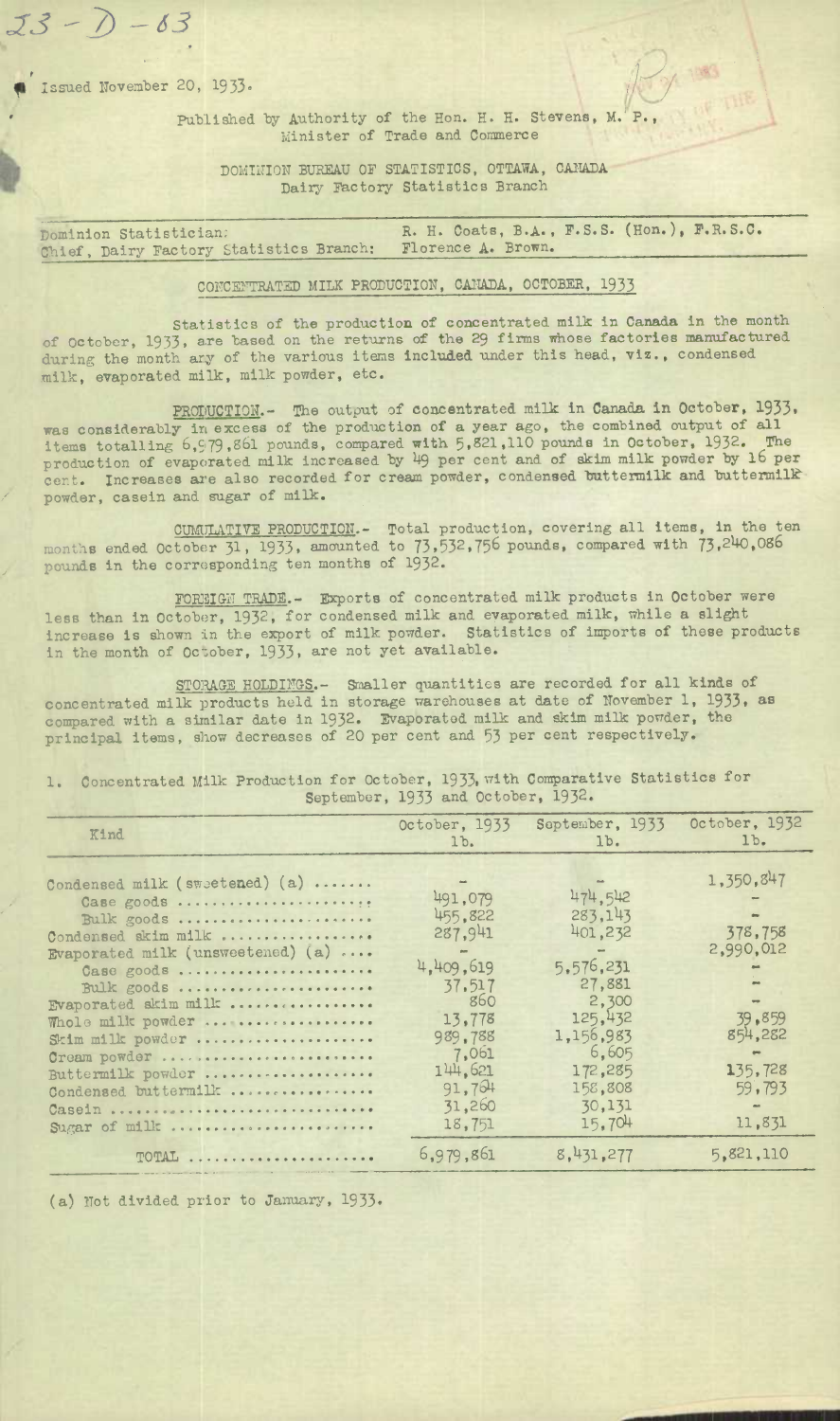Issued November 20, 1933.

 $23 - 0 - 63$ 

Published by Authority of the Hon. H. H. Stevens, M. Minister of Trade and Commerce

> DOMINION BUREAU OF STATISTICS, OTTAWA, CANADA Dairy Factory Statistics Branch

R. H. Coats, B.A., F.S.S. (Hon.), F.R.S.C. Dominion Statistician: Florence A. Brown. Chief, Dairy Factory Statistics Branch:

## CONCENTRATED MILK PRODUCTION, CANADA, OCTOBER, 1933

Statistics of the production of concentrated milk in Canada in the month<br>of October, 1933, are based on the returns of the 29 firms whose factories manufactured during the month any of the various items included under this head, viz., condensed milk, evaporated milk, milk powder, etc.

PRODUCTION.- The output of concentrated milk in Canada in October, 1933. was considerably in excess of the production of a year ago, the combined output of all<br>items totalling 6,979,861 pounds, compared with 5,821,110 pounds in October, 1932. The<br>production of evaporated milk increased by 49 pe cent. Increases are also recorded for cream powder, condensed buttermilk and buttermilk powder, casein and sugar of milk.

CUMULATIVE PRODUCTION.- Total production, covering all items, in the ten months ended October 31, 1933, amounted to 73,532,756 pounds, compared with 73,240,086 pounds in the corresponding ten months of 1932.

FOREIGH TRADE.- Exports of concentrated milk products in October were less than in October, 1932, for condensed milk and evaporated milk, while a slight increase is shown in the export of milk powder. Statistics of imports of these products in the month of October, 1933, are not yet available.

STORAGE HOLDINGS.- Smaller quantities are recorded for all kinds of concentrated milk products held in storage warehouses at date of November 1, 1933, as compared with a similar date in 1932. Evaporated milk and skim milk powder, the principal items, show decreases of 20 per cent and 53 per cent respectively.

September, 1933 October, 1932 October, 1933 Kind  $1<sub>b</sub>$ lb.  $1<sub>b</sub>$ 1,350,847 Condensed milk (sweetened) (a) ....... 474.542 491,079 Case goods ........................ 283,143 455,822 Bulk goods ....................... 378,758 287,941 401,232 Condensed skim milk .................. 2,990,012 Evaporated milk (unsweetened) (a) .... 5,576,231 4,409,619 Case goods ........................ 37.517 27,881 ÷, Bulk goods ....................... 2,300<br>125,432 Evaporated skim milk ..................<br>Whole milk powder ... ................. 860 39,859 13,778 854,282 1,156,983 Skim milk powder .................... 989,788 6,605 7,061 Cream powder ......................... 144,621 135,728 172,285 Buttermilk powder ....................  $91,704$ <br> $31,260$ 158,808 59,793 Condensed buttermilk ................. 30,131 Casein ............................... 18,751 15,704 11,831 Sugar of milk ......................... 6,979,861 5,821,110  $8,431,277$ 

1. Concentrated Milk Production for October, 1933, with Comparative Statistics for September, 1933 and October, 1932.

(a) Not divided prior to January, 1933.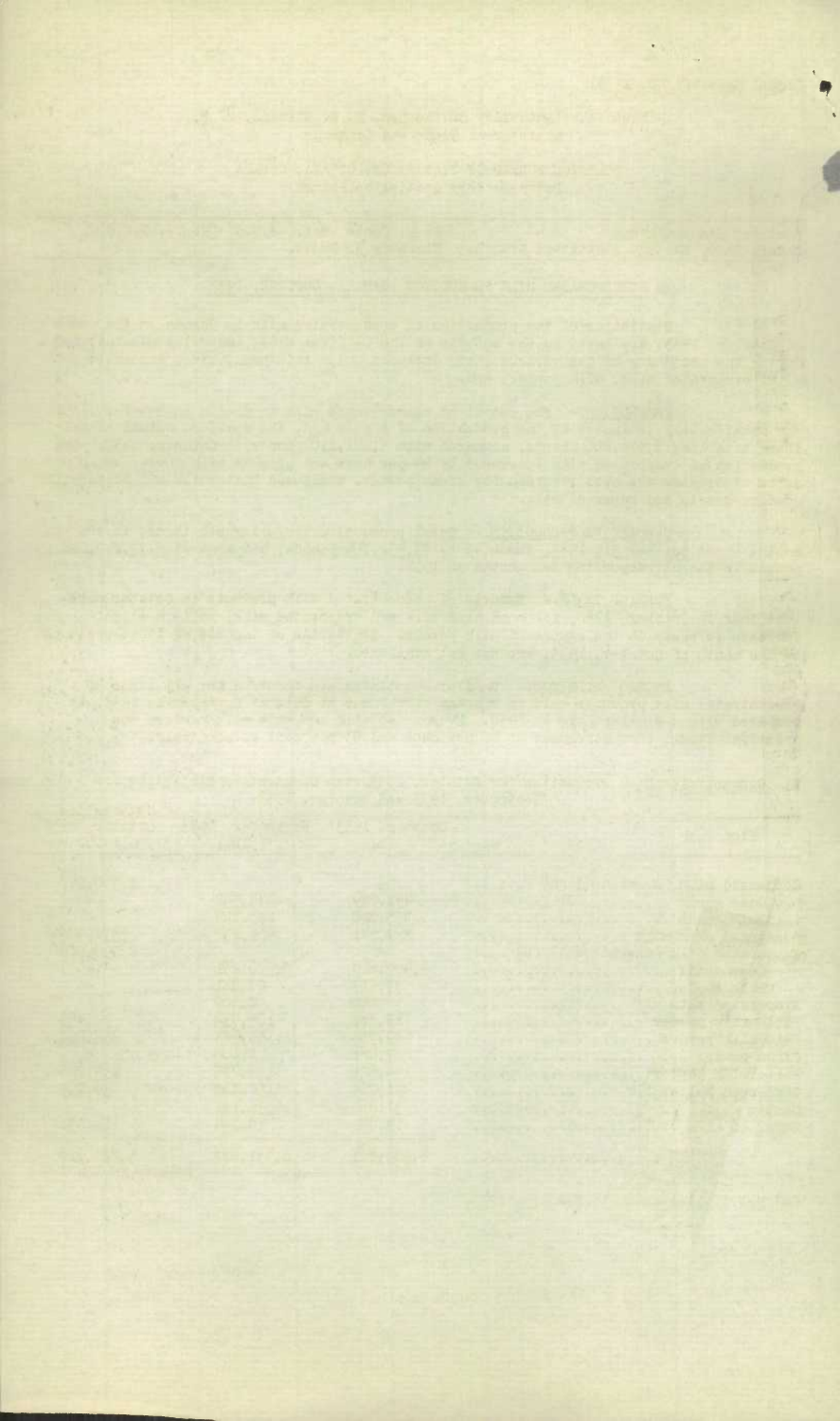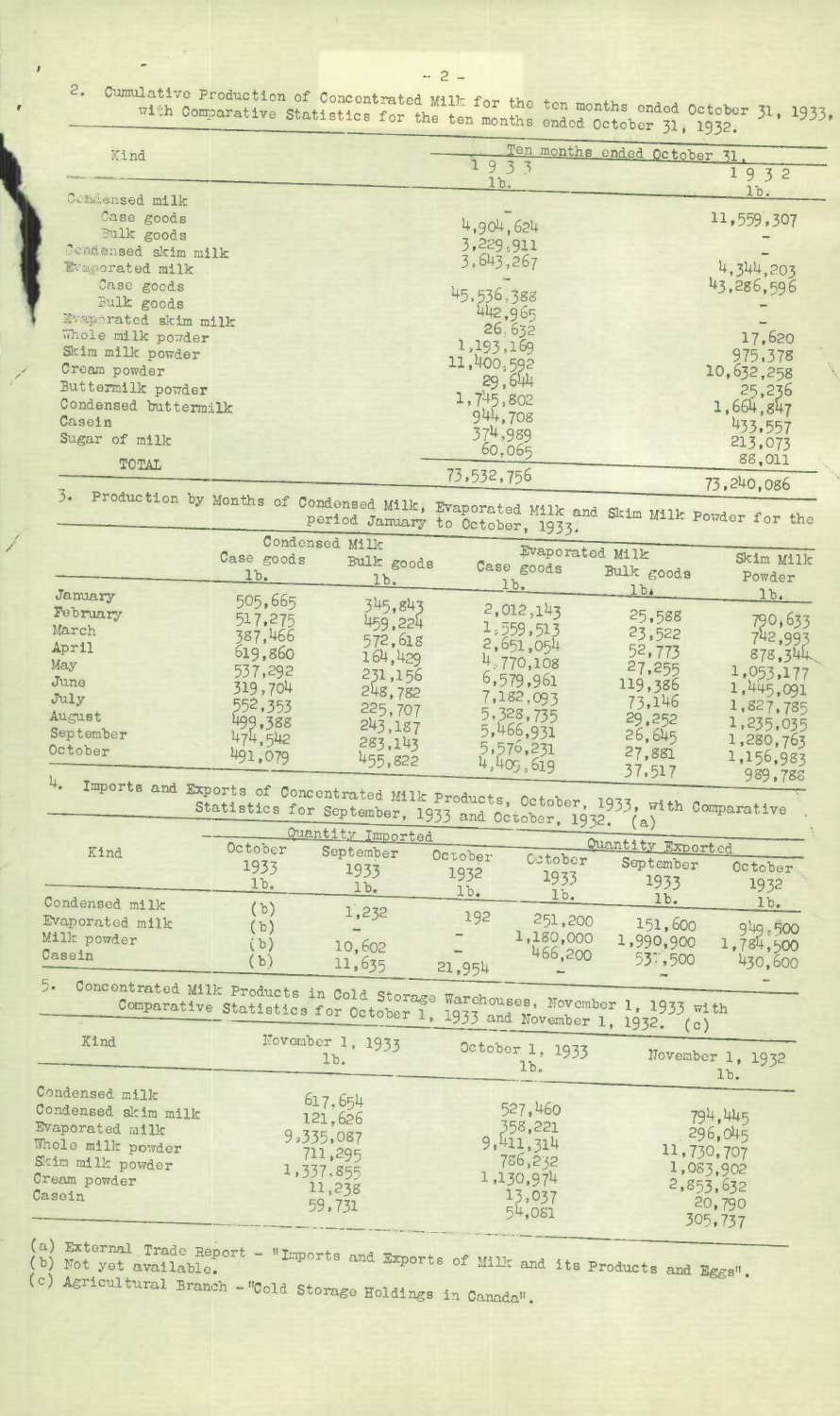$-2-$ 

Cumulative Production of Concentrated Milt for the ten months ended October 31, 1933, with Comparative Statistics for the ten months ended October 31, 1932.

| Kind                 | Ten months ended October 31. |                |
|----------------------|------------------------------|----------------|
|                      | 1933                         | 1932           |
|                      | 1 <sub>b.</sub>              | 1 <sub>b</sub> |
| Condensed milk       |                              |                |
| Case goods           |                              | 11,559,307     |
| Bulk goods           | 4,904.624                    |                |
| Condensed skim milk  | 3,229,911                    |                |
| Evaporated milk      | 3, 643, 267                  | 4,344,203      |
|                      |                              |                |
| Case goods           | 45,536,388                   | 43,286,596     |
| Bulk goods           | 442,965                      |                |
| Evaporated skim milk |                              |                |
| Whole milk powder    | 26.632                       | 17,620         |
| Skim milk powder     | 1,193,169                    | 975,378        |
| Cream powder         | 11,400,592                   | 10,632,258     |
|                      | 29,644                       |                |
| Buttermilk powder    | 1,745,802                    | 25,236         |
| Condensed buttermilk | 944.708                      | 1,664.847      |
| Casein               |                              | 433.557        |
| Sugar of milk        | 374,989                      | 213,073        |
|                      | 60.065                       | 88,011         |
| TOTAL                | 73,532,756                   |                |
|                      |                              | 73,240,086     |

3. Production by Months of Condensed Milk, Evaporated Milk and Skim Milk Powder for the period January to October, 1933.

|                                                                                                       | Case goods<br>1 <sub>b</sub>                                                                               | Condensed Milk<br>Bulk goods<br>1 <sub>b</sub>                                                             | Case goods<br>1 <sub>b</sub>                                                                                                   | Evaporated Milk<br>Bulk goods                                                                            | Skim Milk<br>Powder                                                                                                           |
|-------------------------------------------------------------------------------------------------------|------------------------------------------------------------------------------------------------------------|------------------------------------------------------------------------------------------------------------|--------------------------------------------------------------------------------------------------------------------------------|----------------------------------------------------------------------------------------------------------|-------------------------------------------------------------------------------------------------------------------------------|
| January<br><b>February</b><br>March<br>April<br>May<br>June<br>July<br>August<br>September<br>October | 505,665<br>517,275<br>387,466<br>619,860<br>537,292<br>319,704<br>552,353<br>499,388<br>474,542<br>491,079 | 345,843<br>459,224<br>572,618<br>164,429<br>231,156<br>248,782<br>225,707<br>243,187<br>283,143<br>455,822 | 2,012,143<br>1,559,513<br>2,651,054<br>4,770,108<br>6,579,961<br>7,182,093<br>5,328,735<br>5,466,931<br>5,576,231<br>4,409,619 | 1b.<br>25,588<br>23,522<br>52,773<br>27,255<br>119,386<br>73,146<br>29,252<br>26,645<br>27,881<br>37,517 | 1b.<br>790,633<br>742,993<br>878,344<br>1,053,177<br>1,445,091<br>1,827,785<br>1,235,035<br>1,280,763<br>1,156,983<br>989.788 |

Imports and Exports of Concentrated Milk Products, October, 1933, with Comparative<br>Statistics for September, 1933 and October, 1932. (a) 4.

|                                   |                        | Quantity Imported       |             |                              |                           |                           |
|-----------------------------------|------------------------|-------------------------|-------------|------------------------------|---------------------------|---------------------------|
| Kind                              | October                | September<br>October    |             | Quantity Exported<br>Cetober |                           |                           |
|                                   | 1933<br>1 <sub>b</sub> | 1933<br>1b <sub>o</sub> | 1932<br>1b. | 1933                         | September<br>1933         | October<br>1932           |
| Condensed milk<br>Evaporated milk | (b)<br>$\mathbf{b}$    | 1,232                   | 192         | 1 <sub>b</sub><br>251,200    | 1 <sub>b</sub><br>151,600 | $1b_{\bullet}$<br>949.500 |
| Milk powder<br>Casein             | $\mathbf b$<br>b.      | 10,602<br>11,635        | 21,954      | 1,180,000<br>466,200         | 1,990,900<br>53.500       | 1,784,500<br>430,600      |

Concentrated Milk Products in Cold Storage Warehouses, November 1, 1933 with<br>Comparative Statistics for October 1, 1933 and November 1, 1932. (c)  $5-$ 

| Kind                | November 1, 1933 | October 1, 1933 | November 1, 1932 |  |
|---------------------|------------------|-----------------|------------------|--|
|                     | 1 <sub>b</sub>   | 1 <sub>b</sub>  | 1 <sub>b</sub>   |  |
| Condensed milk      | 617.654          | 527.460         | 794,445          |  |
| Condensed skim milk | 121,626          | 358,221         | 296,045          |  |
| Evaporated milk     | 9,335,087        | 9,411,314       | 11,730,707       |  |
| Whole milk powder   | 711,295          | 786,232         | 1,083,902        |  |
| Skim milk powder    | 1,337.855        | 1,130,974       | 2,853,632        |  |
| Cream powder        | 11,238           | 13,037          | 20,790           |  |
| Casein              | 59,731           | 54,081          | 305,737          |  |

(a) External Trade Report - "Imports and Exports of Milk and its Products and Eggs".<br>(b) Not yet available.

(c) Agricultural Branch - "Cold Storage Holdings in Canada".

 $2.$